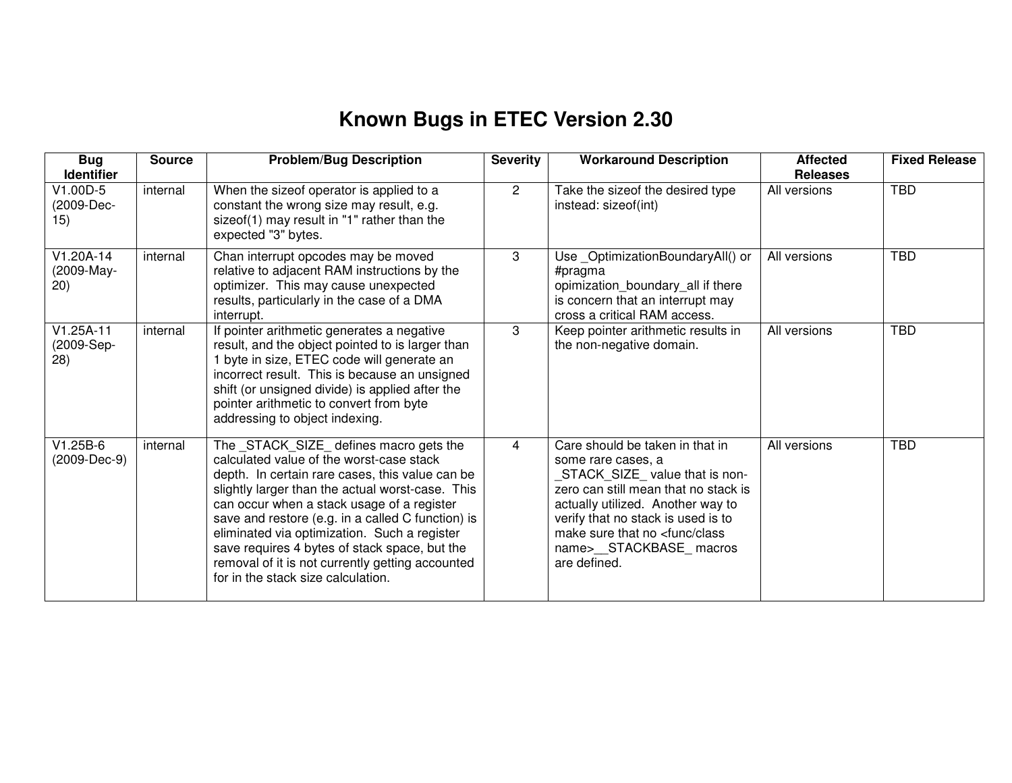## **Known Bugs in ETEC Version 2.30**

| <b>Bug</b><br><b>Identifier</b>  | <b>Source</b> | <b>Problem/Bug Description</b>                                                                                                                                                                                                                                                                                                                                                                                                                                                           | <b>Severity</b> | <b>Workaround Description</b>                                                                                                                                                                                                                                                                       | <b>Affected</b><br><b>Releases</b> | <b>Fixed Release</b> |
|----------------------------------|---------------|------------------------------------------------------------------------------------------------------------------------------------------------------------------------------------------------------------------------------------------------------------------------------------------------------------------------------------------------------------------------------------------------------------------------------------------------------------------------------------------|-----------------|-----------------------------------------------------------------------------------------------------------------------------------------------------------------------------------------------------------------------------------------------------------------------------------------------------|------------------------------------|----------------------|
| V1.00D-5<br>(2009-Dec-<br>15)    | internal      | When the sizeof operator is applied to a<br>constant the wrong size may result, e.g.<br>sizeof(1) may result in "1" rather than the<br>expected "3" bytes.                                                                                                                                                                                                                                                                                                                               | $\overline{2}$  | Take the sizeof the desired type<br>instead: sizeof(int)                                                                                                                                                                                                                                            | All versions                       | <b>TBD</b>           |
| V1.20A-14<br>(2009-May-<br>(20)  | internal      | Chan interrupt opcodes may be moved<br>relative to adjacent RAM instructions by the<br>optimizer. This may cause unexpected<br>results, particularly in the case of a DMA<br>interrupt.                                                                                                                                                                                                                                                                                                  | 3               | Use_OptimizationBoundaryAll() or<br>#pragma<br>opimization_boundary_all if there<br>is concern that an interrupt may<br>cross a critical RAM access.                                                                                                                                                | All versions                       | <b>TBD</b>           |
| $V1.25A-11$<br>(2009-Sep-<br>28) | internal      | If pointer arithmetic generates a negative<br>result, and the object pointed to is larger than<br>1 byte in size, ETEC code will generate an<br>incorrect result. This is because an unsigned<br>shift (or unsigned divide) is applied after the<br>pointer arithmetic to convert from byte<br>addressing to object indexing.                                                                                                                                                            | 3               | Keep pointer arithmetic results in<br>the non-negative domain.                                                                                                                                                                                                                                      | All versions                       | <b>TBD</b>           |
| $V1.25B-6$<br>(2009-Dec-9)       | internal      | The _STACK_SIZE_ defines macro gets the<br>calculated value of the worst-case stack<br>depth. In certain rare cases, this value can be<br>slightly larger than the actual worst-case. This<br>can occur when a stack usage of a register<br>save and restore (e.g. in a called C function) is<br>eliminated via optimization. Such a register<br>save requires 4 bytes of stack space, but the<br>removal of it is not currently getting accounted<br>for in the stack size calculation. | 4               | Care should be taken in that in<br>some rare cases, a<br>STACK_SIZE_value that is non-<br>zero can still mean that no stack is<br>actually utilized. Another way to<br>verify that no stack is used is to<br>make sure that no <func class<br="">name&gt;__STACKBASE_macros<br/>are defined.</func> | All versions                       | <b>TBD</b>           |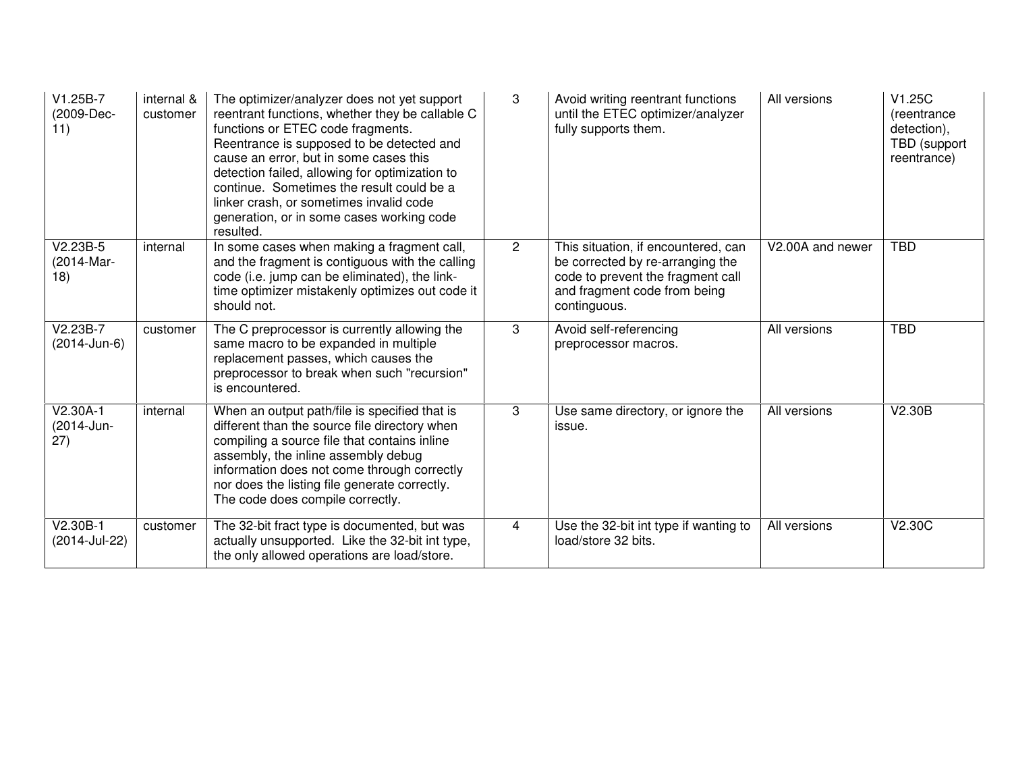| $V1.25B-7$<br>(2009-Dec-<br>11)  | internal &<br>customer | The optimizer/analyzer does not yet support<br>reentrant functions, whether they be callable C<br>functions or ETEC code fragments.<br>Reentrance is supposed to be detected and<br>cause an error, but in some cases this<br>detection failed, allowing for optimization to<br>continue. Sometimes the result could be a<br>linker crash, or sometimes invalid code<br>generation, or in some cases working code<br>resulted. | 3              | Avoid writing reentrant functions<br>until the ETEC optimizer/analyzer<br>fully supports them.                                                               | All versions     | V1.25C<br>(reentrance)<br>detection),<br>TBD (support<br>reentrance) |
|----------------------------------|------------------------|--------------------------------------------------------------------------------------------------------------------------------------------------------------------------------------------------------------------------------------------------------------------------------------------------------------------------------------------------------------------------------------------------------------------------------|----------------|--------------------------------------------------------------------------------------------------------------------------------------------------------------|------------------|----------------------------------------------------------------------|
| $V2.23B-5$<br>(2014-Mar-<br>18)  | internal               | In some cases when making a fragment call,<br>and the fragment is contiguous with the calling<br>code (i.e. jump can be eliminated), the link-<br>time optimizer mistakenly optimizes out code it<br>should not.                                                                                                                                                                                                               | $\overline{2}$ | This situation, if encountered, can<br>be corrected by re-arranging the<br>code to prevent the fragment call<br>and fragment code from being<br>continguous. | V2.00A and newer | <b>TBD</b>                                                           |
| $V2.23B-7$<br>(2014-Jun-6)       | customer               | The C preprocessor is currently allowing the<br>same macro to be expanded in multiple<br>replacement passes, which causes the<br>preprocessor to break when such "recursion"<br>is encountered.                                                                                                                                                                                                                                | 3              | Avoid self-referencing<br>preprocessor macros.                                                                                                               | All versions     | <b>TBD</b>                                                           |
| $V2.30A-1$<br>(2014-Jun-<br>(27) | internal               | When an output path/file is specified that is<br>different than the source file directory when<br>compiling a source file that contains inline<br>assembly, the inline assembly debug<br>information does not come through correctly<br>nor does the listing file generate correctly.<br>The code does compile correctly.                                                                                                      | 3              | Use same directory, or ignore the<br>issue.                                                                                                                  | All versions     | V2.30B                                                               |
| V2.30B-1<br>(2014-Jul-22)        | customer               | The 32-bit fract type is documented, but was<br>actually unsupported. Like the 32-bit int type,<br>the only allowed operations are load/store.                                                                                                                                                                                                                                                                                 | $\overline{4}$ | Use the 32-bit int type if wanting to<br>load/store 32 bits.                                                                                                 | All versions     | V2.30C                                                               |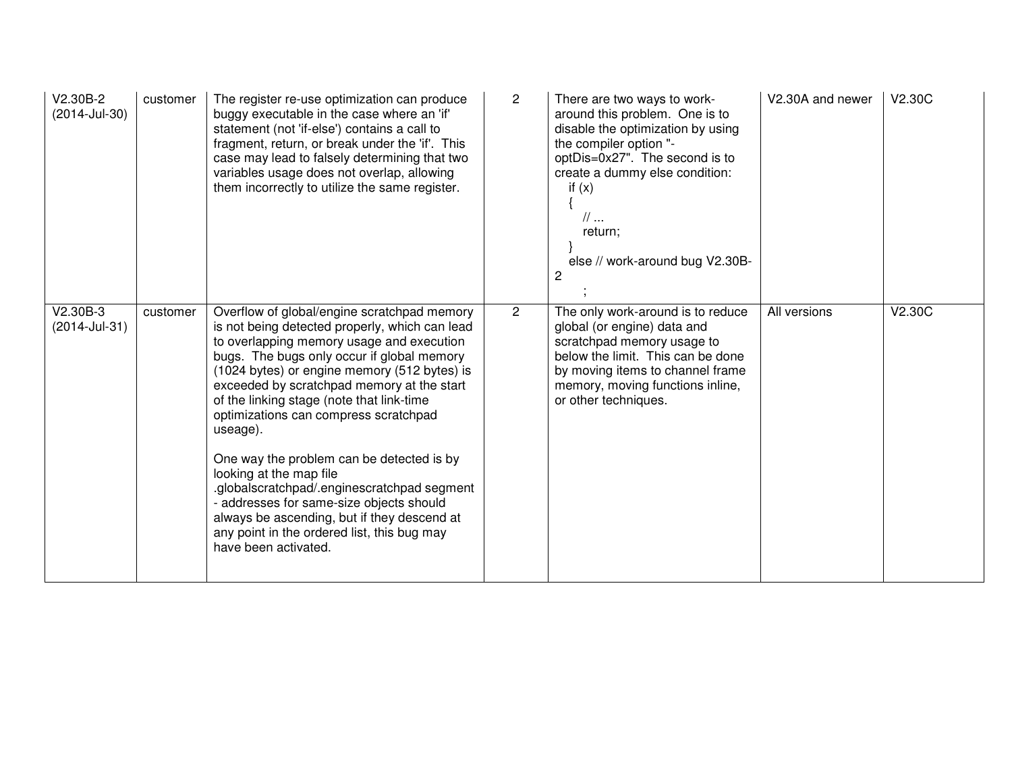| V2.30B-2<br>(2014-Jul-30) | customer | The register re-use optimization can produce<br>buggy executable in the case where an 'if'<br>statement (not 'if-else') contains a call to<br>fragment, return, or break under the 'if'. This<br>case may lead to falsely determining that two<br>variables usage does not overlap, allowing<br>them incorrectly to utilize the same register.                                                                                                                                                                                                                                                                                                                                    | $\overline{2}$ | There are two ways to work-<br>around this problem. One is to<br>disable the optimization by using<br>the compiler option "-<br>optDis=0x27". The second is to<br>create a dummy else condition:<br>if $(x)$<br>$\mathcal{U}$<br>return;<br>else // work-around bug V2.30B-<br>$\overline{c}$ | V2.30A and newer | V2.30C |
|---------------------------|----------|-----------------------------------------------------------------------------------------------------------------------------------------------------------------------------------------------------------------------------------------------------------------------------------------------------------------------------------------------------------------------------------------------------------------------------------------------------------------------------------------------------------------------------------------------------------------------------------------------------------------------------------------------------------------------------------|----------------|-----------------------------------------------------------------------------------------------------------------------------------------------------------------------------------------------------------------------------------------------------------------------------------------------|------------------|--------|
| V2.30B-3<br>(2014-Jul-31) | customer | Overflow of global/engine scratchpad memory<br>is not being detected properly, which can lead<br>to overlapping memory usage and execution<br>bugs. The bugs only occur if global memory<br>(1024 bytes) or engine memory (512 bytes) is<br>exceeded by scratchpad memory at the start<br>of the linking stage (note that link-time<br>optimizations can compress scratchpad<br>useage).<br>One way the problem can be detected is by<br>looking at the map file<br>.globalscratchpad/.enginescratchpad segment<br>- addresses for same-size objects should<br>always be ascending, but if they descend at<br>any point in the ordered list, this bug may<br>have been activated. | $\overline{2}$ | The only work-around is to reduce<br>global (or engine) data and<br>scratchpad memory usage to<br>below the limit. This can be done<br>by moving items to channel frame<br>memory, moving functions inline,<br>or other techniques.                                                           | All versions     | V2.30C |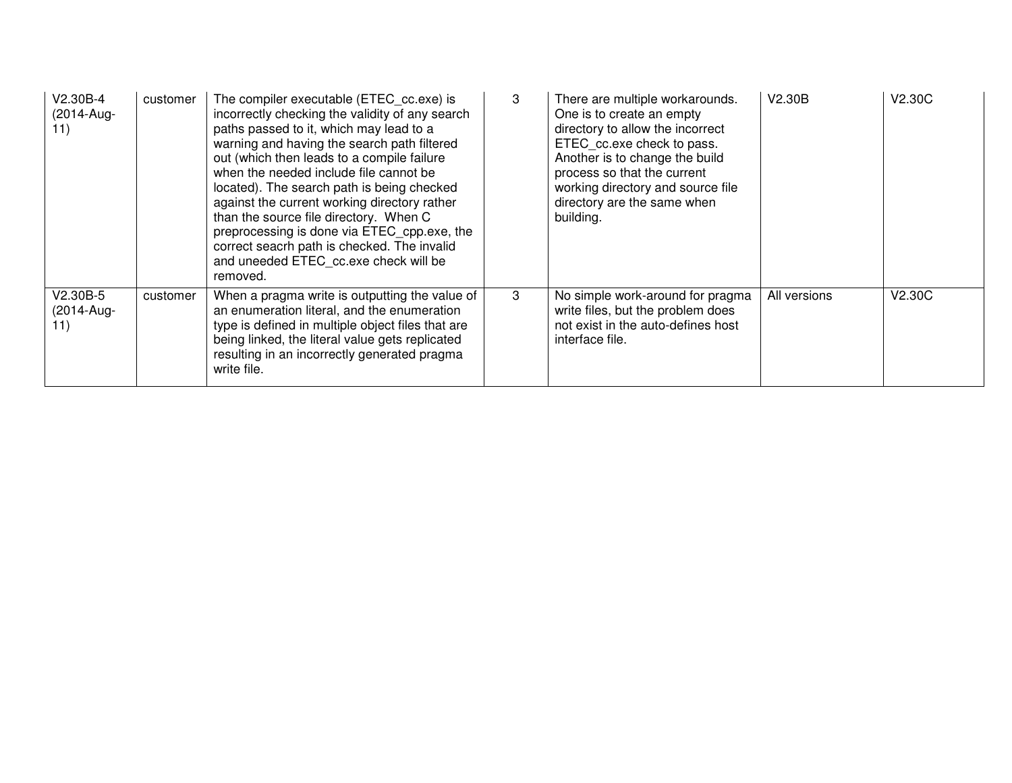| V2.30B-4<br>(2014-Aug-<br>11) | customer | The compiler executable (ETEC cc.exe) is<br>incorrectly checking the validity of any search<br>paths passed to it, which may lead to a<br>warning and having the search path filtered<br>out (which then leads to a compile failure<br>when the needed include file cannot be<br>located). The search path is being checked<br>against the current working directory rather<br>than the source file directory. When C<br>preprocessing is done via ETEC_cpp.exe, the<br>correct seacrh path is checked. The invalid<br>and uneeded ETEC cc.exe check will be<br>removed. | 3 | There are multiple workarounds.<br>One is to create an empty<br>directory to allow the incorrect<br>ETEC cc.exe check to pass.<br>Another is to change the build<br>process so that the current<br>working directory and source file<br>directory are the same when<br>building. | V2.30B       | V2.30C |
|-------------------------------|----------|--------------------------------------------------------------------------------------------------------------------------------------------------------------------------------------------------------------------------------------------------------------------------------------------------------------------------------------------------------------------------------------------------------------------------------------------------------------------------------------------------------------------------------------------------------------------------|---|----------------------------------------------------------------------------------------------------------------------------------------------------------------------------------------------------------------------------------------------------------------------------------|--------------|--------|
| V2.30B-5<br>(2014-Aug-<br>11) | customer | When a pragma write is outputting the value of<br>an enumeration literal, and the enumeration<br>type is defined in multiple object files that are<br>being linked, the literal value gets replicated<br>resulting in an incorrectly generated pragma<br>write file.                                                                                                                                                                                                                                                                                                     | 3 | No simple work-around for pragma<br>write files, but the problem does<br>not exist in the auto-defines host<br>interface file.                                                                                                                                                   | All versions | V2.30C |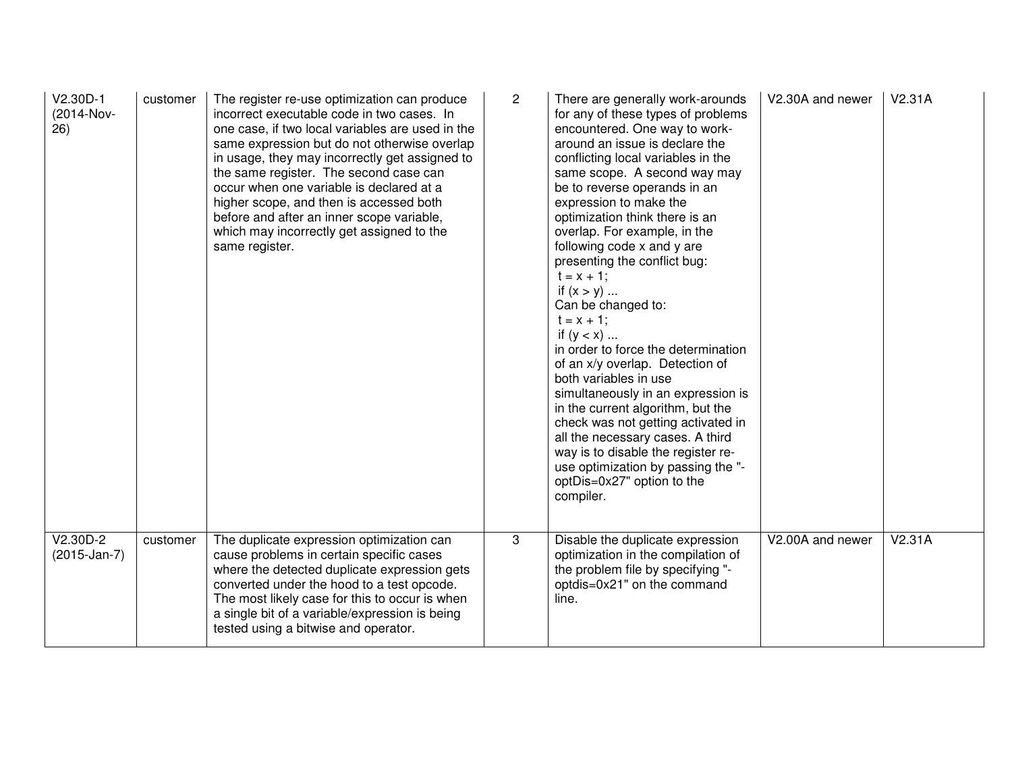| $V2.30D-1$<br>(2014-Nov-<br>26) | customer | The register re-use optimization can produce<br>incorrect executable code in two cases. In<br>one case, if two local variables are used in the<br>same expression but do not otherwise overlap<br>in usage, they may incorrectly get assigned to<br>the same register. The second case can<br>occur when one variable is declared at a<br>higher scope, and then is accessed both<br>before and after an inner scope variable,<br>which may incorrectly get assigned to the<br>same register. | $\overline{2}$ | There are generally work-arounds<br>for any of these types of problems<br>encountered. One way to work-<br>around an issue is declare the<br>conflicting local variables in the<br>same scope. A second way may<br>be to reverse operands in an<br>expression to make the<br>optimization think there is an<br>overlap. For example, in the<br>following code x and y are<br>presenting the conflict bug:<br>$t = x + 1$ ;<br>if $(x > y)$<br>Can be changed to:<br>$t = x + 1$ ;<br>if $(y < x)$<br>in order to force the determination<br>of an x/y overlap. Detection of<br>both variables in use<br>simultaneously in an expression is<br>in the current algorithm, but the<br>check was not getting activated in<br>all the necessary cases. A third<br>way is to disable the register re-<br>use optimization by passing the "-<br>optDis=0x27" option to the<br>compiler. | V2.30A and newer | V2.31A |
|---------------------------------|----------|-----------------------------------------------------------------------------------------------------------------------------------------------------------------------------------------------------------------------------------------------------------------------------------------------------------------------------------------------------------------------------------------------------------------------------------------------------------------------------------------------|----------------|----------------------------------------------------------------------------------------------------------------------------------------------------------------------------------------------------------------------------------------------------------------------------------------------------------------------------------------------------------------------------------------------------------------------------------------------------------------------------------------------------------------------------------------------------------------------------------------------------------------------------------------------------------------------------------------------------------------------------------------------------------------------------------------------------------------------------------------------------------------------------------|------------------|--------|
| $V2.30D-2$<br>$(2015-Jan-7)$    | customer | The duplicate expression optimization can<br>cause problems in certain specific cases<br>where the detected duplicate expression gets<br>converted under the hood to a test opcode.<br>The most likely case for this to occur is when<br>a single bit of a variable/expression is being<br>tested using a bitwise and operator.                                                                                                                                                               | 3              | Disable the duplicate expression<br>optimization in the compilation of<br>the problem file by specifying "-<br>optdis=0x21" on the command<br>line.                                                                                                                                                                                                                                                                                                                                                                                                                                                                                                                                                                                                                                                                                                                              | V2.00A and newer | V2.31A |